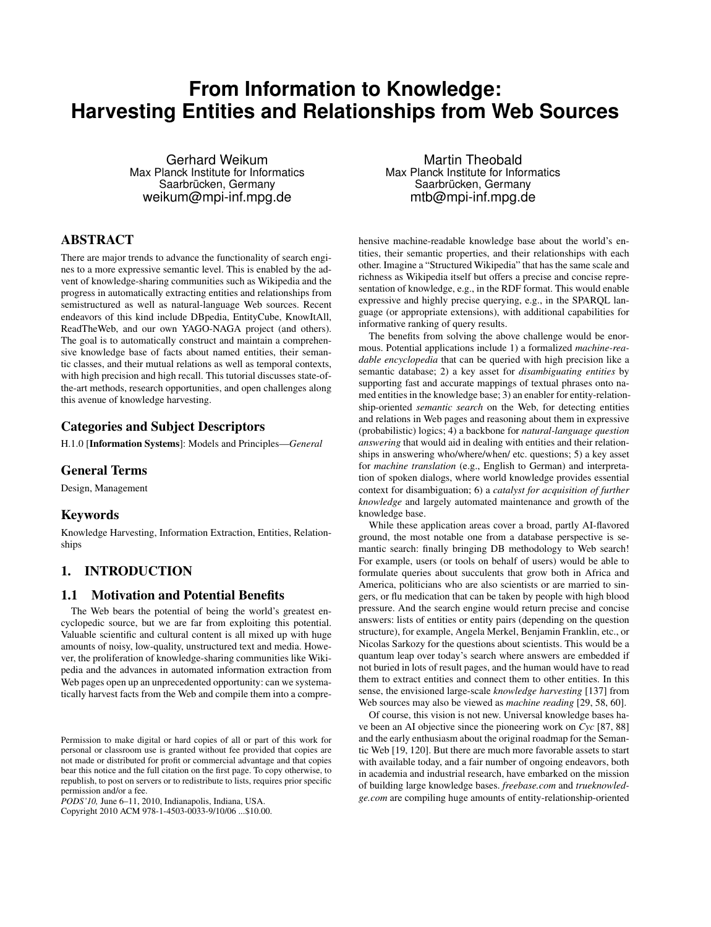# **From Information to Knowledge: Harvesting Entities and Relationships from Web Sources**

Gerhard Weikum Max Planck Institute for Informatics Saarbrücken, Germany weikum@mpi-inf.mpg.de

## ABSTRACT

There are major trends to advance the functionality of search engines to a more expressive semantic level. This is enabled by the advent of knowledge-sharing communities such as Wikipedia and the progress in automatically extracting entities and relationships from semistructured as well as natural-language Web sources. Recent endeavors of this kind include DBpedia, EntityCube, KnowItAll, ReadTheWeb, and our own YAGO-NAGA project (and others). The goal is to automatically construct and maintain a comprehensive knowledge base of facts about named entities, their semantic classes, and their mutual relations as well as temporal contexts, with high precision and high recall. This tutorial discusses state-ofthe-art methods, research opportunities, and open challenges along this avenue of knowledge harvesting.

## Categories and Subject Descriptors

H.1.0 [Information Systems]: Models and Principles—*General*

## General Terms

Design, Management

### Keywords

Knowledge Harvesting, Information Extraction, Entities, Relationships

## 1. INTRODUCTION

#### 1.1 Motivation and Potential Benefits

The Web bears the potential of being the world's greatest encyclopedic source, but we are far from exploiting this potential. Valuable scientific and cultural content is all mixed up with huge amounts of noisy, low-quality, unstructured text and media. However, the proliferation of knowledge-sharing communities like Wikipedia and the advances in automated information extraction from Web pages open up an unprecedented opportunity: can we systematically harvest facts from the Web and compile them into a compre-

*PODS'10,* June 6–11, 2010, Indianapolis, Indiana, USA.

Copyright 2010 ACM 978-1-4503-0033-9/10/06 ...\$10.00.

Martin Theobald Max Planck Institute for Informatics Saarbrücken, Germany mtb@mpi-inf.mpg.de

hensive machine-readable knowledge base about the world's entities, their semantic properties, and their relationships with each other. Imagine a "Structured Wikipedia" that has the same scale and richness as Wikipedia itself but offers a precise and concise representation of knowledge, e.g., in the RDF format. This would enable expressive and highly precise querying, e.g., in the SPARQL language (or appropriate extensions), with additional capabilities for informative ranking of query results.

The benefits from solving the above challenge would be enormous. Potential applications include 1) a formalized *machine-readable encyclopedia* that can be queried with high precision like a semantic database; 2) a key asset for *disambiguating entities* by supporting fast and accurate mappings of textual phrases onto named entities in the knowledge base; 3) an enabler for entity-relationship-oriented *semantic search* on the Web, for detecting entities and relations in Web pages and reasoning about them in expressive (probabilistic) logics; 4) a backbone for *natural-language question answering* that would aid in dealing with entities and their relationships in answering who/where/when/ etc. questions; 5) a key asset for *machine translation* (e.g., English to German) and interpretation of spoken dialogs, where world knowledge provides essential context for disambiguation; 6) a *catalyst for acquisition of further knowledge* and largely automated maintenance and growth of the knowledge base.

While these application areas cover a broad, partly AI-flavored ground, the most notable one from a database perspective is semantic search: finally bringing DB methodology to Web search! For example, users (or tools on behalf of users) would be able to formulate queries about succulents that grow both in Africa and America, politicians who are also scientists or are married to singers, or flu medication that can be taken by people with high blood pressure. And the search engine would return precise and concise answers: lists of entities or entity pairs (depending on the question structure), for example, Angela Merkel, Benjamin Franklin, etc., or Nicolas Sarkozy for the questions about scientists. This would be a quantum leap over today's search where answers are embedded if not buried in lots of result pages, and the human would have to read them to extract entities and connect them to other entities. In this sense, the envisioned large-scale *knowledge harvesting* [137] from Web sources may also be viewed as *machine reading* [29, 58, 60].

Of course, this vision is not new. Universal knowledge bases have been an AI objective since the pioneering work on *Cyc* [87, 88] and the early enthusiasm about the original roadmap for the Semantic Web [19, 120]. But there are much more favorable assets to start with available today, and a fair number of ongoing endeavors, both in academia and industrial research, have embarked on the mission of building large knowledge bases. *freebase.com* and *trueknowledge.com* are compiling huge amounts of entity-relationship-oriented

Permission to make digital or hard copies of all or part of this work for personal or classroom use is granted without fee provided that copies are not made or distributed for profit or commercial advantage and that copies bear this notice and the full citation on the first page. To copy otherwise, to republish, to post on servers or to redistribute to lists, requires prior specific permission and/or a fee.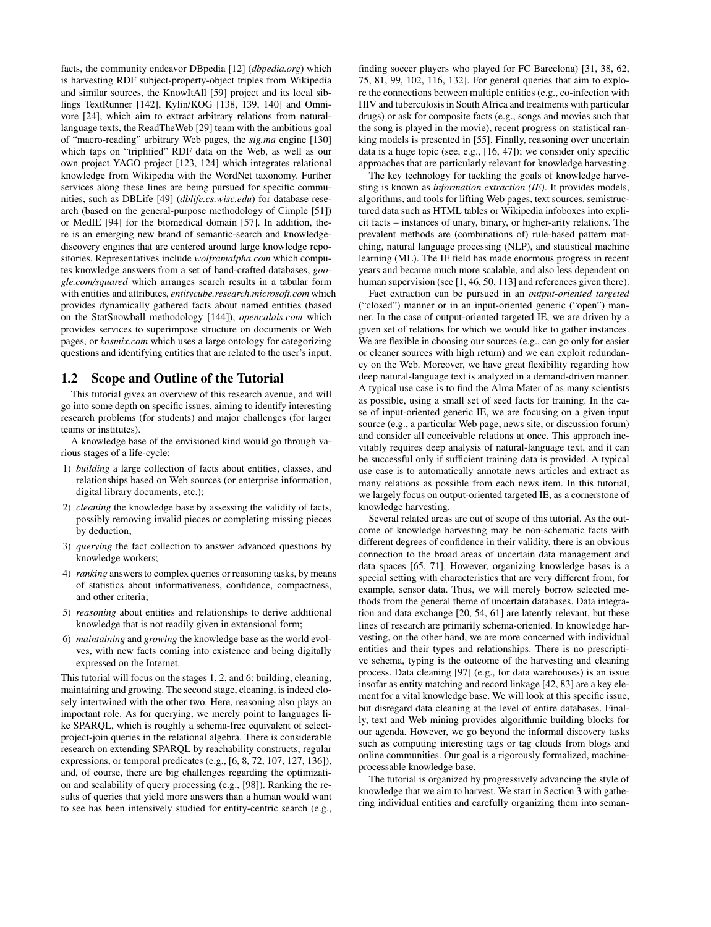facts, the community endeavor DBpedia [12] (*dbpedia.org*) which is harvesting RDF subject-property-object triples from Wikipedia and similar sources, the KnowItAll [59] project and its local siblings TextRunner [142], Kylin/KOG [138, 139, 140] and Omnivore [24], which aim to extract arbitrary relations from naturallanguage texts, the ReadTheWeb [29] team with the ambitious goal of "macro-reading" arbitrary Web pages, the *sig.ma* engine [130] which taps on "triplified" RDF data on the Web, as well as our own project YAGO project [123, 124] which integrates relational knowledge from Wikipedia with the WordNet taxonomy. Further services along these lines are being pursued for specific communities, such as DBLife [49] (*dblife.cs.wisc.edu*) for database research (based on the general-purpose methodology of Cimple [51]) or MedIE [94] for the biomedical domain [57]. In addition, there is an emerging new brand of semantic-search and knowledgediscovery engines that are centered around large knowledge repositories. Representatives include *wolframalpha.com* which computes knowledge answers from a set of hand-crafted databases, *google.com/squared* which arranges search results in a tabular form with entities and attributes, *entitycube.research.microsoft.com* which provides dynamically gathered facts about named entities (based on the StatSnowball methodology [144]), *opencalais.com* which provides services to superimpose structure on documents or Web pages, or *kosmix.com* which uses a large ontology for categorizing questions and identifying entities that are related to the user's input.

#### 1.2 Scope and Outline of the Tutorial

This tutorial gives an overview of this research avenue, and will go into some depth on specific issues, aiming to identify interesting research problems (for students) and major challenges (for larger teams or institutes).

A knowledge base of the envisioned kind would go through various stages of a life-cycle:

- 1) *building* a large collection of facts about entities, classes, and relationships based on Web sources (or enterprise information, digital library documents, etc.);
- 2) *cleaning* the knowledge base by assessing the validity of facts, possibly removing invalid pieces or completing missing pieces by deduction;
- 3) *querying* the fact collection to answer advanced questions by knowledge workers;
- 4) *ranking* answers to complex queries or reasoning tasks, by means of statistics about informativeness, confidence, compactness, and other criteria;
- 5) *reasoning* about entities and relationships to derive additional knowledge that is not readily given in extensional form;
- 6) *maintaining* and *growing* the knowledge base as the world evolves, with new facts coming into existence and being digitally expressed on the Internet.

This tutorial will focus on the stages 1, 2, and 6: building, cleaning, maintaining and growing. The second stage, cleaning, is indeed closely intertwined with the other two. Here, reasoning also plays an important role. As for querying, we merely point to languages like SPARQL, which is roughly a schema-free equivalent of selectproject-join queries in the relational algebra. There is considerable research on extending SPARQL by reachability constructs, regular expressions, or temporal predicates (e.g., [6, 8, 72, 107, 127, 136]), and, of course, there are big challenges regarding the optimization and scalability of query processing (e.g., [98]). Ranking the results of queries that yield more answers than a human would want to see has been intensively studied for entity-centric search (e.g., finding soccer players who played for FC Barcelona) [31, 38, 62, 75, 81, 99, 102, 116, 132]. For general queries that aim to explore the connections between multiple entities (e.g., co-infection with HIV and tuberculosis in South Africa and treatments with particular drugs) or ask for composite facts (e.g., songs and movies such that the song is played in the movie), recent progress on statistical ranking models is presented in [55]. Finally, reasoning over uncertain data is a huge topic (see, e.g., [16, 47]); we consider only specific approaches that are particularly relevant for knowledge harvesting.

The key technology for tackling the goals of knowledge harvesting is known as *information extraction (IE)*. It provides models, algorithms, and tools for lifting Web pages, text sources, semistructured data such as HTML tables or Wikipedia infoboxes into explicit facts – instances of unary, binary, or higher-arity relations. The prevalent methods are (combinations of) rule-based pattern matching, natural language processing (NLP), and statistical machine learning (ML). The IE field has made enormous progress in recent years and became much more scalable, and also less dependent on human supervision (see [1, 46, 50, 113] and references given there).

Fact extraction can be pursued in an *output-oriented targeted* ("closed") manner or in an input-oriented generic ("open") manner. In the case of output-oriented targeted IE, we are driven by a given set of relations for which we would like to gather instances. We are flexible in choosing our sources (e.g., can go only for easier or cleaner sources with high return) and we can exploit redundancy on the Web. Moreover, we have great flexibility regarding how deep natural-language text is analyzed in a demand-driven manner. A typical use case is to find the Alma Mater of as many scientists as possible, using a small set of seed facts for training. In the case of input-oriented generic IE, we are focusing on a given input source (e.g., a particular Web page, news site, or discussion forum) and consider all conceivable relations at once. This approach inevitably requires deep analysis of natural-language text, and it can be successful only if sufficient training data is provided. A typical use case is to automatically annotate news articles and extract as many relations as possible from each news item. In this tutorial, we largely focus on output-oriented targeted IE, as a cornerstone of knowledge harvesting.

Several related areas are out of scope of this tutorial. As the outcome of knowledge harvesting may be non-schematic facts with different degrees of confidence in their validity, there is an obvious connection to the broad areas of uncertain data management and data spaces [65, 71]. However, organizing knowledge bases is a special setting with characteristics that are very different from, for example, sensor data. Thus, we will merely borrow selected methods from the general theme of uncertain databases. Data integration and data exchange [20, 54, 61] are latently relevant, but these lines of research are primarily schema-oriented. In knowledge harvesting, on the other hand, we are more concerned with individual entities and their types and relationships. There is no prescriptive schema, typing is the outcome of the harvesting and cleaning process. Data cleaning [97] (e.g., for data warehouses) is an issue insofar as entity matching and record linkage [42, 83] are a key element for a vital knowledge base. We will look at this specific issue, but disregard data cleaning at the level of entire databases. Finally, text and Web mining provides algorithmic building blocks for our agenda. However, we go beyond the informal discovery tasks such as computing interesting tags or tag clouds from blogs and online communities. Our goal is a rigorously formalized, machineprocessable knowledge base.

The tutorial is organized by progressively advancing the style of knowledge that we aim to harvest. We start in Section 3 with gathering individual entities and carefully organizing them into seman-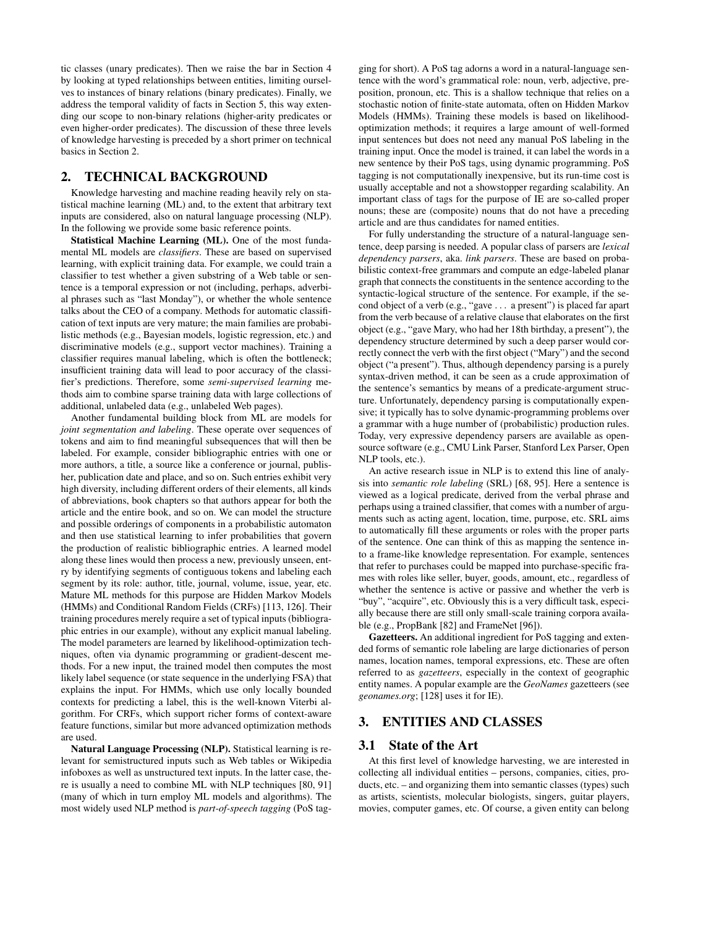tic classes (unary predicates). Then we raise the bar in Section 4 by looking at typed relationships between entities, limiting ourselves to instances of binary relations (binary predicates). Finally, we address the temporal validity of facts in Section 5, this way extending our scope to non-binary relations (higher-arity predicates or even higher-order predicates). The discussion of these three levels of knowledge harvesting is preceded by a short primer on technical basics in Section 2.

#### 2. TECHNICAL BACKGROUND

Knowledge harvesting and machine reading heavily rely on statistical machine learning (ML) and, to the extent that arbitrary text inputs are considered, also on natural language processing (NLP). In the following we provide some basic reference points.

Statistical Machine Learning (ML). One of the most fundamental ML models are *classifiers*. These are based on supervised learning, with explicit training data. For example, we could train a classifier to test whether a given substring of a Web table or sentence is a temporal expression or not (including, perhaps, adverbial phrases such as "last Monday"), or whether the whole sentence talks about the CEO of a company. Methods for automatic classification of text inputs are very mature; the main families are probabilistic methods (e.g., Bayesian models, logistic regression, etc.) and discriminative models (e.g., support vector machines). Training a classifier requires manual labeling, which is often the bottleneck; insufficient training data will lead to poor accuracy of the classifier's predictions. Therefore, some *semi-supervised learning* methods aim to combine sparse training data with large collections of additional, unlabeled data (e.g., unlabeled Web pages).

Another fundamental building block from ML are models for *joint segmentation and labeling*. These operate over sequences of tokens and aim to find meaningful subsequences that will then be labeled. For example, consider bibliographic entries with one or more authors, a title, a source like a conference or journal, publisher, publication date and place, and so on. Such entries exhibit very high diversity, including different orders of their elements, all kinds of abbreviations, book chapters so that authors appear for both the article and the entire book, and so on. We can model the structure and possible orderings of components in a probabilistic automaton and then use statistical learning to infer probabilities that govern the production of realistic bibliographic entries. A learned model along these lines would then process a new, previously unseen, entry by identifying segments of contiguous tokens and labeling each segment by its role: author, title, journal, volume, issue, year, etc. Mature ML methods for this purpose are Hidden Markov Models (HMMs) and Conditional Random Fields (CRFs) [113, 126]. Their training procedures merely require a set of typical inputs (bibliographic entries in our example), without any explicit manual labeling. The model parameters are learned by likelihood-optimization techniques, often via dynamic programming or gradient-descent methods. For a new input, the trained model then computes the most likely label sequence (or state sequence in the underlying FSA) that explains the input. For HMMs, which use only locally bounded contexts for predicting a label, this is the well-known Viterbi algorithm. For CRFs, which support richer forms of context-aware feature functions, similar but more advanced optimization methods are used.

Natural Language Processing (NLP). Statistical learning is relevant for semistructured inputs such as Web tables or Wikipedia infoboxes as well as unstructured text inputs. In the latter case, there is usually a need to combine ML with NLP techniques [80, 91] (many of which in turn employ ML models and algorithms). The most widely used NLP method is *part-of-speech tagging* (PoS tagging for short). A PoS tag adorns a word in a natural-language sentence with the word's grammatical role: noun, verb, adjective, preposition, pronoun, etc. This is a shallow technique that relies on a stochastic notion of finite-state automata, often on Hidden Markov Models (HMMs). Training these models is based on likelihoodoptimization methods; it requires a large amount of well-formed input sentences but does not need any manual PoS labeling in the training input. Once the model is trained, it can label the words in a new sentence by their PoS tags, using dynamic programming. PoS tagging is not computationally inexpensive, but its run-time cost is usually acceptable and not a showstopper regarding scalability. An important class of tags for the purpose of IE are so-called proper nouns; these are (composite) nouns that do not have a preceding article and are thus candidates for named entities.

For fully understanding the structure of a natural-language sentence, deep parsing is needed. A popular class of parsers are *lexical dependency parsers*, aka. *link parsers*. These are based on probabilistic context-free grammars and compute an edge-labeled planar graph that connects the constituents in the sentence according to the syntactic-logical structure of the sentence. For example, if the second object of a verb (e.g., "gave . . . a present") is placed far apart from the verb because of a relative clause that elaborates on the first object (e.g., "gave Mary, who had her 18th birthday, a present"), the dependency structure determined by such a deep parser would correctly connect the verb with the first object ("Mary") and the second object ("a present"). Thus, although dependency parsing is a purely syntax-driven method, it can be seen as a crude approximation of the sentence's semantics by means of a predicate-argument structure. Unfortunately, dependency parsing is computationally expensive; it typically has to solve dynamic-programming problems over a grammar with a huge number of (probabilistic) production rules. Today, very expressive dependency parsers are available as opensource software (e.g., CMU Link Parser, Stanford Lex Parser, Open NLP tools, etc.).

An active research issue in NLP is to extend this line of analysis into *semantic role labeling* (SRL) [68, 95]. Here a sentence is viewed as a logical predicate, derived from the verbal phrase and perhaps using a trained classifier, that comes with a number of arguments such as acting agent, location, time, purpose, etc. SRL aims to automatically fill these arguments or roles with the proper parts of the sentence. One can think of this as mapping the sentence into a frame-like knowledge representation. For example, sentences that refer to purchases could be mapped into purchase-specific frames with roles like seller, buyer, goods, amount, etc., regardless of whether the sentence is active or passive and whether the verb is "buy", "acquire", etc. Obviously this is a very difficult task, especially because there are still only small-scale training corpora available (e.g., PropBank [82] and FrameNet [96]).

Gazetteers. An additional ingredient for PoS tagging and extended forms of semantic role labeling are large dictionaries of person names, location names, temporal expressions, etc. These are often referred to as *gazetteers*, especially in the context of geographic entity names. A popular example are the *GeoNames* gazetteers (see *geonames.org*; [128] uses it for IE).

## 3. ENTITIES AND CLASSES

#### 3.1 State of the Art

At this first level of knowledge harvesting, we are interested in collecting all individual entities – persons, companies, cities, products, etc. – and organizing them into semantic classes (types) such as artists, scientists, molecular biologists, singers, guitar players, movies, computer games, etc. Of course, a given entity can belong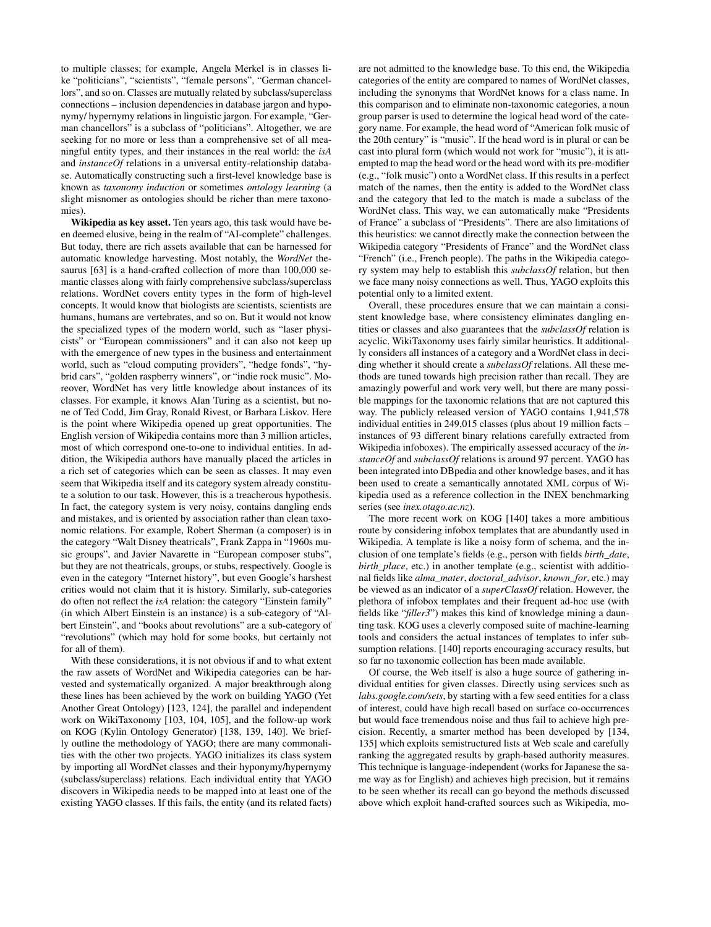to multiple classes; for example, Angela Merkel is in classes like "politicians", "scientists", "female persons", "German chancellors", and so on. Classes are mutually related by subclass/superclass connections – inclusion dependencies in database jargon and hyponymy/ hypernymy relations in linguistic jargon. For example, "German chancellors" is a subclass of "politicians". Altogether, we are seeking for no more or less than a comprehensive set of all meaningful entity types, and their instances in the real world: the *isA* and *instanceOf* relations in a universal entity-relationship database. Automatically constructing such a first-level knowledge base is known as *taxonomy induction* or sometimes *ontology learning* (a slight misnomer as ontologies should be richer than mere taxonomies).

Wikipedia as key asset. Ten years ago, this task would have been deemed elusive, being in the realm of "AI-complete" challenges. But today, there are rich assets available that can be harnessed for automatic knowledge harvesting. Most notably, the *WordNet* thesaurus [63] is a hand-crafted collection of more than 100,000 semantic classes along with fairly comprehensive subclass/superclass relations. WordNet covers entity types in the form of high-level concepts. It would know that biologists are scientists, scientists are humans, humans are vertebrates, and so on. But it would not know the specialized types of the modern world, such as "laser physicists" or "European commissioners" and it can also not keep up with the emergence of new types in the business and entertainment world, such as "cloud computing providers", "hedge fonds", "hybrid cars", "golden raspberry winners", or "indie rock music". Moreover, WordNet has very little knowledge about instances of its classes. For example, it knows Alan Turing as a scientist, but none of Ted Codd, Jim Gray, Ronald Rivest, or Barbara Liskov. Here is the point where Wikipedia opened up great opportunities. The English version of Wikipedia contains more than 3 million articles, most of which correspond one-to-one to individual entities. In addition, the Wikipedia authors have manually placed the articles in a rich set of categories which can be seen as classes. It may even seem that Wikipedia itself and its category system already constitute a solution to our task. However, this is a treacherous hypothesis. In fact, the category system is very noisy, contains dangling ends and mistakes, and is oriented by association rather than clean taxonomic relations. For example, Robert Sherman (a composer) is in the category "Walt Disney theatricals", Frank Zappa in "1960s music groups", and Javier Navarette in "European composer stubs", but they are not theatricals, groups, or stubs, respectively. Google is even in the category "Internet history", but even Google's harshest critics would not claim that it is history. Similarly, sub-categories do often not reflect the *isA* relation: the category "Einstein family" (in which Albert Einstein is an instance) is a sub-category of "Albert Einstein", and "books about revolutions" are a sub-category of "revolutions" (which may hold for some books, but certainly not for all of them).

With these considerations, it is not obvious if and to what extent the raw assets of WordNet and Wikipedia categories can be harvested and systematically organized. A major breakthrough along these lines has been achieved by the work on building YAGO (Yet Another Great Ontology) [123, 124], the parallel and independent work on WikiTaxonomy [103, 104, 105], and the follow-up work on KOG (Kylin Ontology Generator) [138, 139, 140]. We briefly outline the methodology of YAGO; there are many commonalities with the other two projects. YAGO initializes its class system by importing all WordNet classes and their hyponymy/hypernymy (subclass/superclass) relations. Each individual entity that YAGO discovers in Wikipedia needs to be mapped into at least one of the existing YAGO classes. If this fails, the entity (and its related facts) are not admitted to the knowledge base. To this end, the Wikipedia categories of the entity are compared to names of WordNet classes, including the synonyms that WordNet knows for a class name. In this comparison and to eliminate non-taxonomic categories, a noun group parser is used to determine the logical head word of the category name. For example, the head word of "American folk music of the 20th century" is "music". If the head word is in plural or can be cast into plural form (which would not work for "music"), it is attempted to map the head word or the head word with its pre-modifier (e.g., "folk music") onto a WordNet class. If this results in a perfect match of the names, then the entity is added to the WordNet class and the category that led to the match is made a subclass of the WordNet class. This way, we can automatically make "Presidents of France" a subclass of "Presidents". There are also limitations of this heuristics: we cannot directly make the connection between the Wikipedia category "Presidents of France" and the WordNet class "French" (i.e., French people). The paths in the Wikipedia category system may help to establish this *subclassOf* relation, but then we face many noisy connections as well. Thus, YAGO exploits this potential only to a limited extent.

Overall, these procedures ensure that we can maintain a consistent knowledge base, where consistency eliminates dangling entities or classes and also guarantees that the *subclassOf* relation is acyclic. WikiTaxonomy uses fairly similar heuristics. It additionally considers all instances of a category and a WordNet class in deciding whether it should create a *subclassOf* relations. All these methods are tuned towards high precision rather than recall. They are amazingly powerful and work very well, but there are many possible mappings for the taxonomic relations that are not captured this way. The publicly released version of YAGO contains 1,941,578 individual entities in 249,015 classes (plus about 19 million facts – instances of 93 different binary relations carefully extracted from Wikipedia infoboxes). The empirically assessed accuracy of the *instanceOf* and *subclassOf* relations is around 97 percent. YAGO has been integrated into DBpedia and other knowledge bases, and it has been used to create a semantically annotated XML corpus of Wikipedia used as a reference collection in the INEX benchmarking series (see *inex.otago.ac.nz*).

The more recent work on KOG [140] takes a more ambitious route by considering infobox templates that are abundantly used in Wikipedia. A template is like a noisy form of schema, and the inclusion of one template's fields (e.g., person with fields *birth\_date*, *birth\_place*, etc.) in another template (e.g., scientist with additional fields like *alma\_mater*, *doctoral\_advisor*, *known\_for*, etc.) may be viewed as an indicator of a *superClassOf* relation. However, the plethora of infobox templates and their frequent ad-hoc use (with fields like "*filler3*") makes this kind of knowledge mining a daunting task. KOG uses a cleverly composed suite of machine-learning tools and considers the actual instances of templates to infer subsumption relations. [140] reports encouraging accuracy results, but so far no taxonomic collection has been made available.

Of course, the Web itself is also a huge source of gathering individual entities for given classes. Directly using services such as *labs.google.com/sets*, by starting with a few seed entities for a class of interest, could have high recall based on surface co-occurrences but would face tremendous noise and thus fail to achieve high precision. Recently, a smarter method has been developed by [134, 135] which exploits semistructured lists at Web scale and carefully ranking the aggregated results by graph-based authority measures. This technique is language-independent (works for Japanese the same way as for English) and achieves high precision, but it remains to be seen whether its recall can go beyond the methods discussed above which exploit hand-crafted sources such as Wikipedia, mo-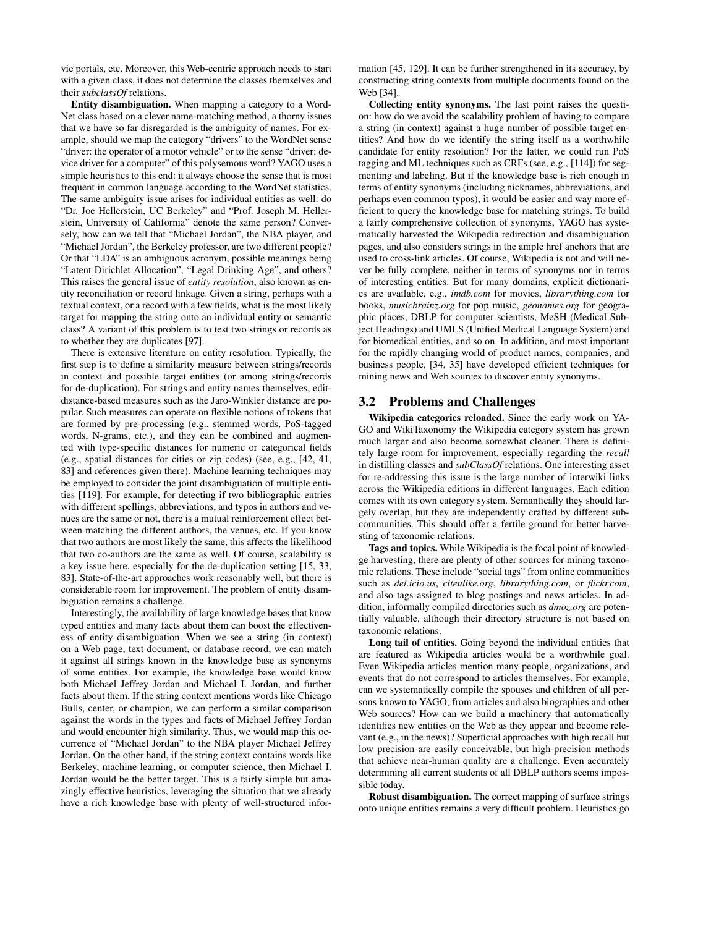vie portals, etc. Moreover, this Web-centric approach needs to start with a given class, it does not determine the classes themselves and their *subclassOf* relations.

Entity disambiguation. When mapping a category to a Word-Net class based on a clever name-matching method, a thorny issues that we have so far disregarded is the ambiguity of names. For example, should we map the category "drivers" to the WordNet sense "driver: the operator of a motor vehicle" or to the sense "driver: device driver for a computer" of this polysemous word? YAGO uses a simple heuristics to this end: it always choose the sense that is most frequent in common language according to the WordNet statistics. The same ambiguity issue arises for individual entities as well: do "Dr. Joe Hellerstein, UC Berkeley" and "Prof. Joseph M. Hellerstein, University of California" denote the same person? Conversely, how can we tell that "Michael Jordan", the NBA player, and "Michael Jordan", the Berkeley professor, are two different people? Or that "LDA" is an ambiguous acronym, possible meanings being "Latent Dirichlet Allocation", "Legal Drinking Age", and others? This raises the general issue of *entity resolution*, also known as entity reconciliation or record linkage. Given a string, perhaps with a textual context, or a record with a few fields, what is the most likely target for mapping the string onto an individual entity or semantic class? A variant of this problem is to test two strings or records as to whether they are duplicates [97].

There is extensive literature on entity resolution. Typically, the first step is to define a similarity measure between strings/records in context and possible target entities (or among strings/records for de-duplication). For strings and entity names themselves, editdistance-based measures such as the Jaro-Winkler distance are popular. Such measures can operate on flexible notions of tokens that are formed by pre-processing (e.g., stemmed words, PoS-tagged words, N-grams, etc.), and they can be combined and augmented with type-specific distances for numeric or categorical fields (e.g., spatial distances for cities or zip codes) (see, e.g., [42, 41, 83] and references given there). Machine learning techniques may be employed to consider the joint disambiguation of multiple entities [119]. For example, for detecting if two bibliographic entries with different spellings, abbreviations, and typos in authors and venues are the same or not, there is a mutual reinforcement effect between matching the different authors, the venues, etc. If you know that two authors are most likely the same, this affects the likelihood that two co-authors are the same as well. Of course, scalability is a key issue here, especially for the de-duplication setting [15, 33, 83]. State-of-the-art approaches work reasonably well, but there is considerable room for improvement. The problem of entity disambiguation remains a challenge.

Interestingly, the availability of large knowledge bases that know typed entities and many facts about them can boost the effectiveness of entity disambiguation. When we see a string (in context) on a Web page, text document, or database record, we can match it against all strings known in the knowledge base as synonyms of some entities. For example, the knowledge base would know both Michael Jeffrey Jordan and Michael I. Jordan, and further facts about them. If the string context mentions words like Chicago Bulls, center, or champion, we can perform a similar comparison against the words in the types and facts of Michael Jeffrey Jordan and would encounter high similarity. Thus, we would map this occurrence of "Michael Jordan" to the NBA player Michael Jeffrey Jordan. On the other hand, if the string context contains words like Berkeley, machine learning, or computer science, then Michael I. Jordan would be the better target. This is a fairly simple but amazingly effective heuristics, leveraging the situation that we already have a rich knowledge base with plenty of well-structured information [45, 129]. It can be further strengthened in its accuracy, by constructing string contexts from multiple documents found on the Web [34].

Collecting entity synonyms. The last point raises the question: how do we avoid the scalability problem of having to compare a string (in context) against a huge number of possible target entities? And how do we identify the string itself as a worthwhile candidate for entity resolution? For the latter, we could run PoS tagging and ML techniques such as CRFs (see, e.g., [114]) for segmenting and labeling. But if the knowledge base is rich enough in terms of entity synonyms (including nicknames, abbreviations, and perhaps even common typos), it would be easier and way more efficient to query the knowledge base for matching strings. To build a fairly comprehensive collection of synonyms, YAGO has systematically harvested the Wikipedia redirection and disambiguation pages, and also considers strings in the ample href anchors that are used to cross-link articles. Of course, Wikipedia is not and will never be fully complete, neither in terms of synonyms nor in terms of interesting entities. But for many domains, explicit dictionaries are available, e.g., *imdb.com* for movies, *librarything.com* for books, *musicbrainz.org* for pop music, *geonames.org* for geographic places, DBLP for computer scientists, MeSH (Medical Subject Headings) and UMLS (Unified Medical Language System) and for biomedical entities, and so on. In addition, and most important for the rapidly changing world of product names, companies, and business people, [34, 35] have developed efficient techniques for mining news and Web sources to discover entity synonyms.

#### 3.2 Problems and Challenges

Wikipedia categories reloaded. Since the early work on YA-GO and WikiTaxonomy the Wikipedia category system has grown much larger and also become somewhat cleaner. There is definitely large room for improvement, especially regarding the *recall* in distilling classes and *subClassOf* relations. One interesting asset for re-addressing this issue is the large number of interwiki links across the Wikipedia editions in different languages. Each edition comes with its own category system. Semantically they should largely overlap, but they are independently crafted by different subcommunities. This should offer a fertile ground for better harvesting of taxonomic relations.

Tags and topics. While Wikipedia is the focal point of knowledge harvesting, there are plenty of other sources for mining taxonomic relations. These include "social tags" from online communities such as *del.icio.us*, *citeulike.org*, *librarything.com*, or *flickr.com*, and also tags assigned to blog postings and news articles. In addition, informally compiled directories such as *dmoz.org* are potentially valuable, although their directory structure is not based on taxonomic relations.

Long tail of entities. Going beyond the individual entities that are featured as Wikipedia articles would be a worthwhile goal. Even Wikipedia articles mention many people, organizations, and events that do not correspond to articles themselves. For example, can we systematically compile the spouses and children of all persons known to YAGO, from articles and also biographies and other Web sources? How can we build a machinery that automatically identifies new entities on the Web as they appear and become relevant (e.g., in the news)? Superficial approaches with high recall but low precision are easily conceivable, but high-precision methods that achieve near-human quality are a challenge. Even accurately determining all current students of all DBLP authors seems impossible today.

Robust disambiguation. The correct mapping of surface strings onto unique entities remains a very difficult problem. Heuristics go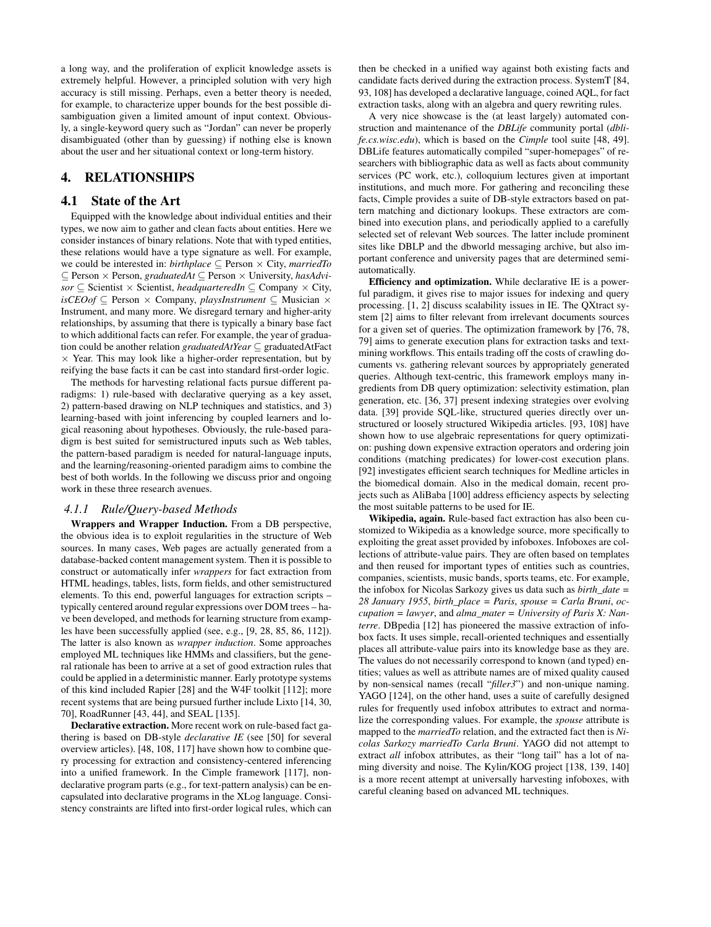a long way, and the proliferation of explicit knowledge assets is extremely helpful. However, a principled solution with very high accuracy is still missing. Perhaps, even a better theory is needed, for example, to characterize upper bounds for the best possible disambiguation given a limited amount of input context. Obviously, a single-keyword query such as "Jordan" can never be properly disambiguated (other than by guessing) if nothing else is known about the user and her situational context or long-term history.

## 4. RELATIONSHIPS

### 4.1 State of the Art

Equipped with the knowledge about individual entities and their types, we now aim to gather and clean facts about entities. Here we consider instances of binary relations. Note that with typed entities, these relations would have a type signature as well. For example, we could be interested in: *birthplace* ⊆ Person × City, *marriedTo* ⊆ Person × Person, *graduatedAt* ⊆ Person × University, *hasAdvisor* ⊆ Scientist × Scientist, *headquarteredIn* ⊆ Company × City, *isCEOof* ⊂ Person × Company, *playsInstrument* ⊂ Musician × Instrument, and many more. We disregard ternary and higher-arity relationships, by assuming that there is typically a binary base fact to which additional facts can refer. For example, the year of graduation could be another relation *graduatedAtYear* ⊆ graduatedAtFact  $\times$  Year. This may look like a higher-order representation, but by reifying the base facts it can be cast into standard first-order logic.

The methods for harvesting relational facts pursue different paradigms: 1) rule-based with declarative querying as a key asset, 2) pattern-based drawing on NLP techniques and statistics, and 3) learning-based with joint inferencing by coupled learners and logical reasoning about hypotheses. Obviously, the rule-based paradigm is best suited for semistructured inputs such as Web tables, the pattern-based paradigm is needed for natural-language inputs, and the learning/reasoning-oriented paradigm aims to combine the best of both worlds. In the following we discuss prior and ongoing work in these three research avenues.

#### *4.1.1 Rule/Query-based Methods*

Wrappers and Wrapper Induction. From a DB perspective, the obvious idea is to exploit regularities in the structure of Web sources. In many cases, Web pages are actually generated from a database-backed content management system. Then it is possible to construct or automatically infer *wrappers* for fact extraction from HTML headings, tables, lists, form fields, and other semistructured elements. To this end, powerful languages for extraction scripts – typically centered around regular expressions over DOM trees – have been developed, and methods for learning structure from examples have been successfully applied (see, e.g., [9, 28, 85, 86, 112]). The latter is also known as *wrapper induction*. Some approaches employed ML techniques like HMMs and classifiers, but the general rationale has been to arrive at a set of good extraction rules that could be applied in a deterministic manner. Early prototype systems of this kind included Rapier [28] and the W4F toolkit [112]; more recent systems that are being pursued further include Lixto [14, 30, 70], RoadRunner [43, 44], and SEAL [135].

Declarative extraction. More recent work on rule-based fact gathering is based on DB-style *declarative IE* (see [50] for several overview articles). [48, 108, 117] have shown how to combine query processing for extraction and consistency-centered inferencing into a unified framework. In the Cimple framework [117], nondeclarative program parts (e.g., for text-pattern analysis) can be encapsulated into declarative programs in the XLog language. Consistency constraints are lifted into first-order logical rules, which can then be checked in a unified way against both existing facts and candidate facts derived during the extraction process. SystemT [84, 93, 108] has developed a declarative language, coined AQL, for fact extraction tasks, along with an algebra and query rewriting rules.

A very nice showcase is the (at least largely) automated construction and maintenance of the *DBLife* community portal (*dblife.cs.wisc.edu*), which is based on the *Cimple* tool suite [48, 49]. DBLife features automatically compiled "super-homepages" of researchers with bibliographic data as well as facts about community services (PC work, etc.), colloquium lectures given at important institutions, and much more. For gathering and reconciling these facts, Cimple provides a suite of DB-style extractors based on pattern matching and dictionary lookups. These extractors are combined into execution plans, and periodically applied to a carefully selected set of relevant Web sources. The latter include prominent sites like DBLP and the dbworld messaging archive, but also important conference and university pages that are determined semiautomatically.

Efficiency and optimization. While declarative IE is a powerful paradigm, it gives rise to major issues for indexing and query processing. [1, 2] discuss scalability issues in IE. The QXtract system [2] aims to filter relevant from irrelevant documents sources for a given set of queries. The optimization framework by [76, 78, 79] aims to generate execution plans for extraction tasks and textmining workflows. This entails trading off the costs of crawling documents vs. gathering relevant sources by appropriately generated queries. Although text-centric, this framework employs many ingredients from DB query optimization: selectivity estimation, plan generation, etc. [36, 37] present indexing strategies over evolving data. [39] provide SQL-like, structured queries directly over unstructured or loosely structured Wikipedia articles. [93, 108] have shown how to use algebraic representations for query optimization: pushing down expensive extraction operators and ordering join conditions (matching predicates) for lower-cost execution plans. [92] investigates efficient search techniques for Medline articles in the biomedical domain. Also in the medical domain, recent projects such as AliBaba [100] address efficiency aspects by selecting the most suitable patterns to be used for IE.

Wikipedia, again. Rule-based fact extraction has also been customized to Wikipedia as a knowledge source, more specifically to exploiting the great asset provided by infoboxes. Infoboxes are collections of attribute-value pairs. They are often based on templates and then reused for important types of entities such as countries, companies, scientists, music bands, sports teams, etc. For example, the infobox for Nicolas Sarkozy gives us data such as *birth\_date = 28 January 1955*, *birth\_place = Paris*, *spouse = Carla Bruni*, *occupation = lawyer*, and *alma\_mater = University of Paris X: Nanterre*. DBpedia [12] has pioneered the massive extraction of infobox facts. It uses simple, recall-oriented techniques and essentially places all attribute-value pairs into its knowledge base as they are. The values do not necessarily correspond to known (and typed) entities; values as well as attribute names are of mixed quality caused by non-sensical names (recall "*filler3*") and non-unique naming. YAGO [124], on the other hand, uses a suite of carefully designed rules for frequently used infobox attributes to extract and normalize the corresponding values. For example, the *spouse* attribute is mapped to the *marriedTo* relation, and the extracted fact then is *Nicolas Sarkozy marriedTo Carla Bruni*. YAGO did not attempt to extract *all* infobox attributes, as their "long tail" has a lot of naming diversity and noise. The Kylin/KOG project [138, 139, 140] is a more recent attempt at universally harvesting infoboxes, with careful cleaning based on advanced ML techniques.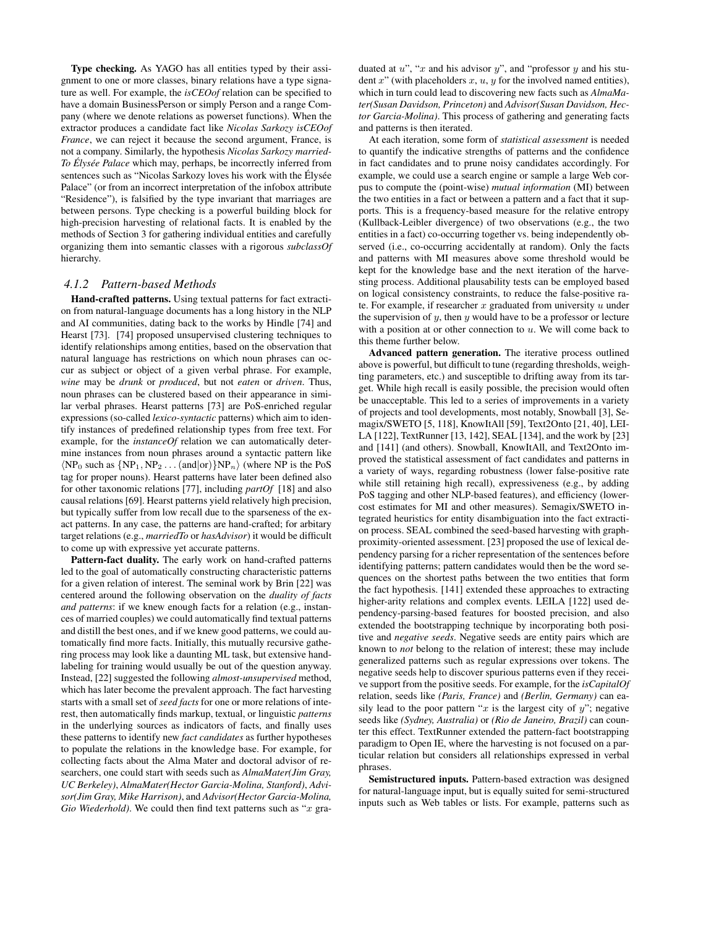Type checking. As YAGO has all entities typed by their assignment to one or more classes, binary relations have a type signature as well. For example, the *isCEOof* relation can be specified to have a domain BusinessPerson or simply Person and a range Company (where we denote relations as powerset functions). When the extractor produces a candidate fact like *Nicolas Sarkozy isCEOof France*, we can reject it because the second argument, France, is not a company. Similarly, the hypothesis *Nicolas Sarkozy married-To Élysée Palace* which may, perhaps, be incorrectly inferred from sentences such as "Nicolas Sarkozy loves his work with the Élysée Palace" (or from an incorrect interpretation of the infobox attribute "Residence"), is falsified by the type invariant that marriages are between persons. Type checking is a powerful building block for high-precision harvesting of relational facts. It is enabled by the methods of Section 3 for gathering individual entities and carefully organizing them into semantic classes with a rigorous *subclassOf* hierarchy.

#### *4.1.2 Pattern-based Methods*

Hand-crafted patterns. Using textual patterns for fact extraction from natural-language documents has a long history in the NLP and AI communities, dating back to the works by Hindle [74] and Hearst [73]. [74] proposed unsupervised clustering techniques to identify relationships among entities, based on the observation that natural language has restrictions on which noun phrases can occur as subject or object of a given verbal phrase. For example, *wine* may be *drunk* or *produced*, but not *eaten* or *driven*. Thus, noun phrases can be clustered based on their appearance in similar verbal phrases. Hearst patterns [73] are PoS-enriched regular expressions (so-called *lexico-syntactic* patterns) which aim to identify instances of predefined relationship types from free text. For example, for the *instanceOf* relation we can automatically determine instances from noun phrases around a syntactic pattern like  $\langle NP_0$  such as  $\{NP_1, NP_2 \dots (and|or)\}NP_n \rangle$  (where NP is the PoS tag for proper nouns). Hearst patterns have later been defined also for other taxonomic relations [77], including *partOf* [18] and also causal relations [69]. Hearst patterns yield relatively high precision, but typically suffer from low recall due to the sparseness of the exact patterns. In any case, the patterns are hand-crafted; for arbitary target relations (e.g., *marriedTo* or *hasAdvisor*) it would be difficult to come up with expressive yet accurate patterns.

Pattern-fact duality. The early work on hand-crafted patterns led to the goal of automatically constructing characteristic patterns for a given relation of interest. The seminal work by Brin [22] was centered around the following observation on the *duality of facts and patterns*: if we knew enough facts for a relation (e.g., instances of married couples) we could automatically find textual patterns and distill the best ones, and if we knew good patterns, we could automatically find more facts. Initially, this mutually recursive gathering process may look like a daunting ML task, but extensive handlabeling for training would usually be out of the question anyway. Instead, [22] suggested the following *almost-unsupervised* method, which has later become the prevalent approach. The fact harvesting starts with a small set of *seed facts* for one or more relations of interest, then automatically finds markup, textual, or linguistic *patterns* in the underlying sources as indicators of facts, and finally uses these patterns to identify new *fact candidates* as further hypotheses to populate the relations in the knowledge base. For example, for collecting facts about the Alma Mater and doctoral advisor of researchers, one could start with seeds such as *AlmaMater(Jim Gray, UC Berkeley)*, *AlmaMater(Hector Garcia-Molina, Stanford)*, *Advisor(Jim Gray, Mike Harrison)*, and *Advisor(Hector Garcia-Molina, Gio Wiederhold*). We could then find text patterns such as "x graduated at  $u$ ", "x and his advisor y", and "professor y and his student  $x$ " (with placeholders  $x$ ,  $u$ ,  $y$  for the involved named entities), which in turn could lead to discovering new facts such as *AlmaMater(Susan Davidson, Princeton)* and *Advisor(Susan Davidson, Hector Garcia-Molina)*. This process of gathering and generating facts and patterns is then iterated.

At each iteration, some form of *statistical assessment* is needed to quantify the indicative strengths of patterns and the confidence in fact candidates and to prune noisy candidates accordingly. For example, we could use a search engine or sample a large Web corpus to compute the (point-wise) *mutual information* (MI) between the two entities in a fact or between a pattern and a fact that it supports. This is a frequency-based measure for the relative entropy (Kullback-Leibler divergence) of two observations (e.g., the two entities in a fact) co-occurring together vs. being independently observed (i.e., co-occurring accidentally at random). Only the facts and patterns with MI measures above some threshold would be kept for the knowledge base and the next iteration of the harvesting process. Additional plausability tests can be employed based on logical consistency constraints, to reduce the false-positive rate. For example, if researcher  $x$  graduated from university  $u$  under the supervision of  $y$ , then  $y$  would have to be a professor or lecture with a position at or other connection to  $u$ . We will come back to this theme further below.

Advanced pattern generation. The iterative process outlined above is powerful, but difficult to tune (regarding thresholds, weighting parameters, etc.) and susceptible to drifting away from its target. While high recall is easily possible, the precision would often be unacceptable. This led to a series of improvements in a variety of projects and tool developments, most notably, Snowball [3], Semagix/SWETO [5, 118], KnowItAll [59], Text2Onto [21, 40], LEI-LA [122], TextRunner [13, 142], SEAL [134], and the work by [23] and [141] (and others). Snowball, KnowItAll, and Text2Onto improved the statistical assessment of fact candidates and patterns in a variety of ways, regarding robustness (lower false-positive rate while still retaining high recall), expressiveness (e.g., by adding PoS tagging and other NLP-based features), and efficiency (lowercost estimates for MI and other measures). Semagix/SWETO integrated heuristics for entity disambiguation into the fact extraction process. SEAL combined the seed-based harvesting with graphproximity-oriented assessment. [23] proposed the use of lexical dependency parsing for a richer representation of the sentences before identifying patterns; pattern candidates would then be the word sequences on the shortest paths between the two entities that form the fact hypothesis. [141] extended these approaches to extracting higher-arity relations and complex events. LEILA [122] used dependency-parsing-based features for boosted precision, and also extended the bootstrapping technique by incorporating both positive and *negative seeds*. Negative seeds are entity pairs which are known to *not* belong to the relation of interest; these may include generalized patterns such as regular expressions over tokens. The negative seeds help to discover spurious patterns even if they receive support from the positive seeds. For example, for the *isCapitalOf* relation, seeds like *(Paris, France)* and *(Berlin, Germany)* can easily lead to the poor pattern "x is the largest city of  $y$ "; negative seeds like *(Sydney, Australia)* or *(Rio de Janeiro, Brazil)* can counter this effect. TextRunner extended the pattern-fact bootstrapping paradigm to Open IE, where the harvesting is not focused on a particular relation but considers all relationships expressed in verbal phrases.

Semistructured inputs. Pattern-based extraction was designed for natural-language input, but is equally suited for semi-structured inputs such as Web tables or lists. For example, patterns such as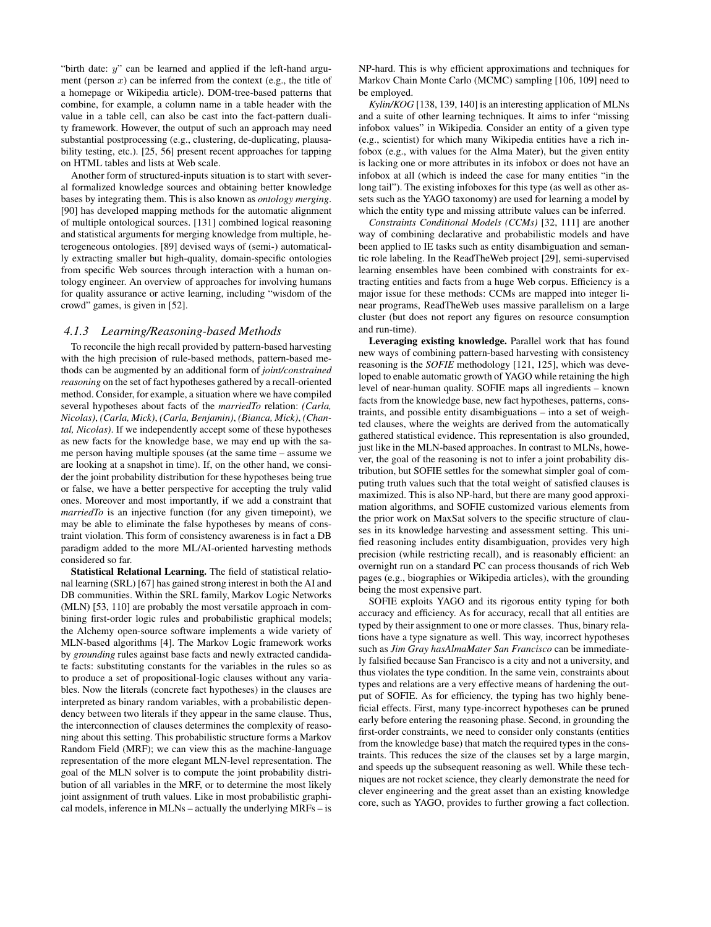"birth date: y" can be learned and applied if the left-hand argument (person  $x$ ) can be inferred from the context (e.g., the title of a homepage or Wikipedia article). DOM-tree-based patterns that combine, for example, a column name in a table header with the value in a table cell, can also be cast into the fact-pattern duality framework. However, the output of such an approach may need substantial postprocessing (e.g., clustering, de-duplicating, plausability testing, etc.). [25, 56] present recent approaches for tapping on HTML tables and lists at Web scale.

Another form of structured-inputs situation is to start with several formalized knowledge sources and obtaining better knowledge bases by integrating them. This is also known as *ontology merging*. [90] has developed mapping methods for the automatic alignment of multiple ontological sources. [131] combined logical reasoning and statistical arguments for merging knowledge from multiple, heterogeneous ontologies. [89] devised ways of (semi-) automatically extracting smaller but high-quality, domain-specific ontologies from specific Web sources through interaction with a human ontology engineer. An overview of approaches for involving humans for quality assurance or active learning, including "wisdom of the crowd" games, is given in [52].

#### *4.1.3 Learning/Reasoning-based Methods*

To reconcile the high recall provided by pattern-based harvesting with the high precision of rule-based methods, pattern-based methods can be augmented by an additional form of *joint/constrained reasoning* on the set of fact hypotheses gathered by a recall-oriented method. Consider, for example, a situation where we have compiled several hypotheses about facts of the *marriedTo* relation: *(Carla, Nicolas)*, *(Carla, Mick)*, *(Carla, Benjamin)*, *(Bianca, Mick)*, *(Chantal, Nicolas)*. If we independently accept some of these hypotheses as new facts for the knowledge base, we may end up with the same person having multiple spouses (at the same time – assume we are looking at a snapshot in time). If, on the other hand, we consider the joint probability distribution for these hypotheses being true or false, we have a better perspective for accepting the truly valid ones. Moreover and most importantly, if we add a constraint that *marriedTo* is an injective function (for any given timepoint), we may be able to eliminate the false hypotheses by means of constraint violation. This form of consistency awareness is in fact a DB paradigm added to the more ML/AI-oriented harvesting methods considered so far.

Statistical Relational Learning. The field of statistical relational learning (SRL) [67] has gained strong interest in both the AI and DB communities. Within the SRL family, Markov Logic Networks (MLN) [53, 110] are probably the most versatile approach in combining first-order logic rules and probabilistic graphical models; the Alchemy open-source software implements a wide variety of MLN-based algorithms [4]. The Markov Logic framework works by *grounding* rules against base facts and newly extracted candidate facts: substituting constants for the variables in the rules so as to produce a set of propositional-logic clauses without any variables. Now the literals (concrete fact hypotheses) in the clauses are interpreted as binary random variables, with a probabilistic dependency between two literals if they appear in the same clause. Thus, the interconnection of clauses determines the complexity of reasoning about this setting. This probabilistic structure forms a Markov Random Field (MRF); we can view this as the machine-language representation of the more elegant MLN-level representation. The goal of the MLN solver is to compute the joint probability distribution of all variables in the MRF, or to determine the most likely joint assignment of truth values. Like in most probabilistic graphical models, inference in MLNs – actually the underlying MRFs – is NP-hard. This is why efficient approximations and techniques for Markov Chain Monte Carlo (MCMC) sampling [106, 109] need to be employed.

*Kylin/KOG* [138, 139, 140] is an interesting application of MLNs and a suite of other learning techniques. It aims to infer "missing infobox values" in Wikipedia. Consider an entity of a given type (e.g., scientist) for which many Wikipedia entities have a rich infobox (e.g., with values for the Alma Mater), but the given entity is lacking one or more attributes in its infobox or does not have an infobox at all (which is indeed the case for many entities "in the long tail"). The existing infoboxes for this type (as well as other assets such as the YAGO taxonomy) are used for learning a model by which the entity type and missing attribute values can be inferred.

*Constraints Conditional Models (CCMs)* [32, 111] are another way of combining declarative and probabilistic models and have been applied to IE tasks such as entity disambiguation and semantic role labeling. In the ReadTheWeb project [29], semi-supervised learning ensembles have been combined with constraints for extracting entities and facts from a huge Web corpus. Efficiency is a major issue for these methods: CCMs are mapped into integer linear programs, ReadTheWeb uses massive parallelism on a large cluster (but does not report any figures on resource consumption and run-time).

Leveraging existing knowledge. Parallel work that has found new ways of combining pattern-based harvesting with consistency reasoning is the *SOFIE* methodology [121, 125], which was developed to enable automatic growth of YAGO while retaining the high level of near-human quality. SOFIE maps all ingredients – known facts from the knowledge base, new fact hypotheses, patterns, constraints, and possible entity disambiguations – into a set of weighted clauses, where the weights are derived from the automatically gathered statistical evidence. This representation is also grounded, just like in the MLN-based approaches. In contrast to MLNs, however, the goal of the reasoning is not to infer a joint probability distribution, but SOFIE settles for the somewhat simpler goal of computing truth values such that the total weight of satisfied clauses is maximized. This is also NP-hard, but there are many good approximation algorithms, and SOFIE customized various elements from the prior work on MaxSat solvers to the specific structure of clauses in its knowledge harvesting and assessment setting. This unified reasoning includes entity disambiguation, provides very high precision (while restricting recall), and is reasonably efficient: an overnight run on a standard PC can process thousands of rich Web pages (e.g., biographies or Wikipedia articles), with the grounding being the most expensive part.

SOFIE exploits YAGO and its rigorous entity typing for both accuracy and efficiency. As for accuracy, recall that all entities are typed by their assignment to one or more classes. Thus, binary relations have a type signature as well. This way, incorrect hypotheses such as *Jim Gray hasAlmaMater San Francisco* can be immediately falsified because San Francisco is a city and not a university, and thus violates the type condition. In the same vein, constraints about types and relations are a very effective means of hardening the output of SOFIE. As for efficiency, the typing has two highly beneficial effects. First, many type-incorrect hypotheses can be pruned early before entering the reasoning phase. Second, in grounding the first-order constraints, we need to consider only constants (entities from the knowledge base) that match the required types in the constraints. This reduces the size of the clauses set by a large margin, and speeds up the subsequent reasoning as well. While these techniques are not rocket science, they clearly demonstrate the need for clever engineering and the great asset than an existing knowledge core, such as YAGO, provides to further growing a fact collection.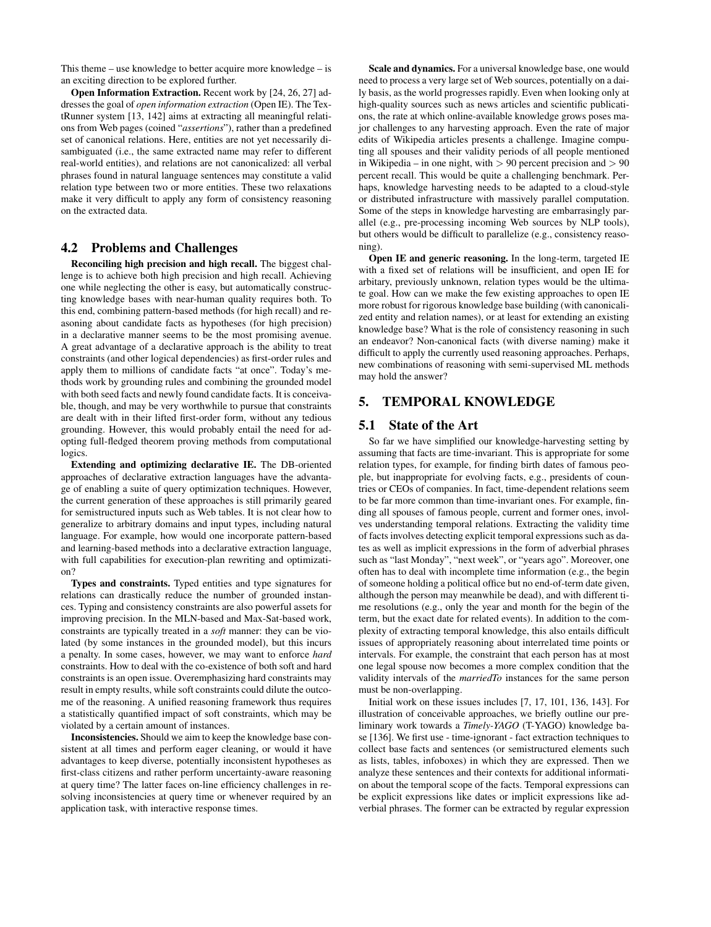This theme – use knowledge to better acquire more knowledge – is an exciting direction to be explored further.

Open Information Extraction. Recent work by [24, 26, 27] addresses the goal of *open information extraction* (Open IE). The TextRunner system [13, 142] aims at extracting all meaningful relations from Web pages (coined "*assertions*"), rather than a predefined set of canonical relations. Here, entities are not yet necessarily disambiguated (i.e., the same extracted name may refer to different real-world entities), and relations are not canonicalized: all verbal phrases found in natural language sentences may constitute a valid relation type between two or more entities. These two relaxations make it very difficult to apply any form of consistency reasoning on the extracted data.

### 4.2 Problems and Challenges

Reconciling high precision and high recall. The biggest challenge is to achieve both high precision and high recall. Achieving one while neglecting the other is easy, but automatically constructing knowledge bases with near-human quality requires both. To this end, combining pattern-based methods (for high recall) and reasoning about candidate facts as hypotheses (for high precision) in a declarative manner seems to be the most promising avenue. A great advantage of a declarative approach is the ability to treat constraints (and other logical dependencies) as first-order rules and apply them to millions of candidate facts "at once". Today's methods work by grounding rules and combining the grounded model with both seed facts and newly found candidate facts. It is conceivable, though, and may be very worthwhile to pursue that constraints are dealt with in their lifted first-order form, without any tedious grounding. However, this would probably entail the need for adopting full-fledged theorem proving methods from computational logics.

Extending and optimizing declarative IE. The DB-oriented approaches of declarative extraction languages have the advantage of enabling a suite of query optimization techniques. However, the current generation of these approaches is still primarily geared for semistructured inputs such as Web tables. It is not clear how to generalize to arbitrary domains and input types, including natural language. For example, how would one incorporate pattern-based and learning-based methods into a declarative extraction language, with full capabilities for execution-plan rewriting and optimization?

Types and constraints. Typed entities and type signatures for relations can drastically reduce the number of grounded instances. Typing and consistency constraints are also powerful assets for improving precision. In the MLN-based and Max-Sat-based work, constraints are typically treated in a *soft* manner: they can be violated (by some instances in the grounded model), but this incurs a penalty. In some cases, however, we may want to enforce *hard* constraints. How to deal with the co-existence of both soft and hard constraints is an open issue. Overemphasizing hard constraints may result in empty results, while soft constraints could dilute the outcome of the reasoning. A unified reasoning framework thus requires a statistically quantified impact of soft constraints, which may be violated by a certain amount of instances.

Inconsistencies. Should we aim to keep the knowledge base consistent at all times and perform eager cleaning, or would it have advantages to keep diverse, potentially inconsistent hypotheses as first-class citizens and rather perform uncertainty-aware reasoning at query time? The latter faces on-line efficiency challenges in resolving inconsistencies at query time or whenever required by an application task, with interactive response times.

Scale and dynamics. For a universal knowledge base, one would need to process a very large set of Web sources, potentially on a daily basis, as the world progresses rapidly. Even when looking only at high-quality sources such as news articles and scientific publications, the rate at which online-available knowledge grows poses major challenges to any harvesting approach. Even the rate of major edits of Wikipedia articles presents a challenge. Imagine computing all spouses and their validity periods of all people mentioned in Wikipedia – in one night, with  $> 90$  percent precision and  $> 90$ percent recall. This would be quite a challenging benchmark. Perhaps, knowledge harvesting needs to be adapted to a cloud-style or distributed infrastructure with massively parallel computation. Some of the steps in knowledge harvesting are embarrasingly parallel (e.g., pre-processing incoming Web sources by NLP tools), but others would be difficult to parallelize (e.g., consistency reasoning).

Open IE and generic reasoning. In the long-term, targeted IE with a fixed set of relations will be insufficient, and open IE for arbitary, previously unknown, relation types would be the ultimate goal. How can we make the few existing approaches to open IE more robust for rigorous knowledge base building (with canonicalized entity and relation names), or at least for extending an existing knowledge base? What is the role of consistency reasoning in such an endeavor? Non-canonical facts (with diverse naming) make it difficult to apply the currently used reasoning approaches. Perhaps, new combinations of reasoning with semi-supervised ML methods may hold the answer?

## 5. TEMPORAL KNOWLEDGE

#### 5.1 State of the Art

So far we have simplified our knowledge-harvesting setting by assuming that facts are time-invariant. This is appropriate for some relation types, for example, for finding birth dates of famous people, but inappropriate for evolving facts, e.g., presidents of countries or CEOs of companies. In fact, time-dependent relations seem to be far more common than time-invariant ones. For example, finding all spouses of famous people, current and former ones, involves understanding temporal relations. Extracting the validity time of facts involves detecting explicit temporal expressions such as dates as well as implicit expressions in the form of adverbial phrases such as "last Monday", "next week", or "years ago". Moreover, one often has to deal with incomplete time information (e.g., the begin of someone holding a political office but no end-of-term date given, although the person may meanwhile be dead), and with different time resolutions (e.g., only the year and month for the begin of the term, but the exact date for related events). In addition to the complexity of extracting temporal knowledge, this also entails difficult issues of appropriately reasoning about interrelated time points or intervals. For example, the constraint that each person has at most one legal spouse now becomes a more complex condition that the validity intervals of the *marriedTo* instances for the same person must be non-overlapping.

Initial work on these issues includes [7, 17, 101, 136, 143]. For illustration of conceivable approaches, we briefly outline our preliminary work towards a *Timely-YAGO* (T-YAGO) knowledge base [136]. We first use - time-ignorant - fact extraction techniques to collect base facts and sentences (or semistructured elements such as lists, tables, infoboxes) in which they are expressed. Then we analyze these sentences and their contexts for additional information about the temporal scope of the facts. Temporal expressions can be explicit expressions like dates or implicit expressions like adverbial phrases. The former can be extracted by regular expression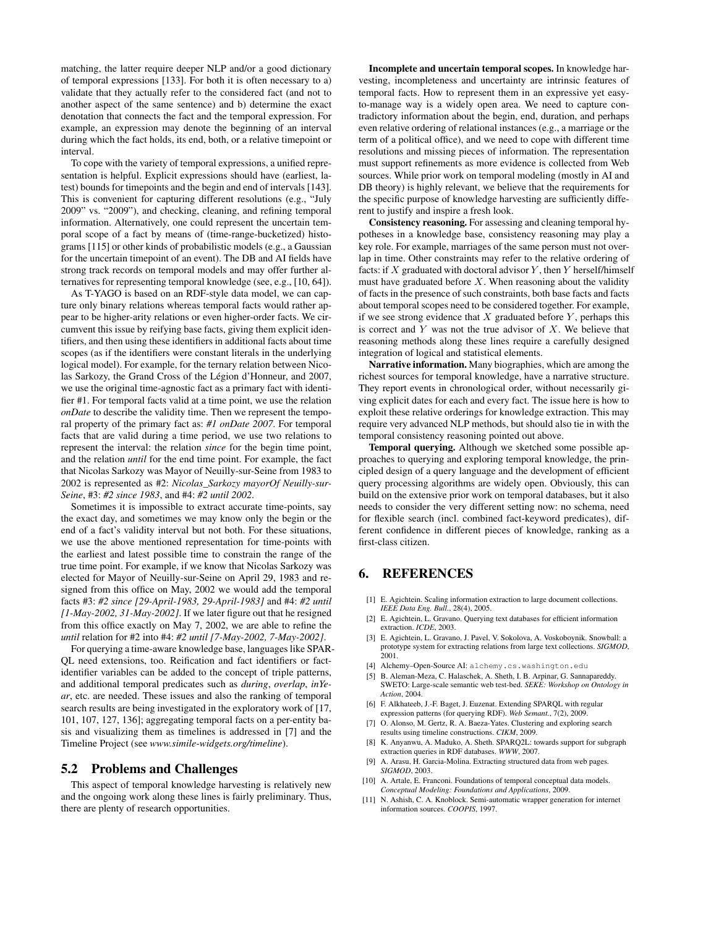matching, the latter require deeper NLP and/or a good dictionary of temporal expressions [133]. For both it is often necessary to a) validate that they actually refer to the considered fact (and not to another aspect of the same sentence) and b) determine the exact denotation that connects the fact and the temporal expression. For example, an expression may denote the beginning of an interval during which the fact holds, its end, both, or a relative timepoint or interval.

To cope with the variety of temporal expressions, a unified representation is helpful. Explicit expressions should have (earliest, latest) bounds for timepoints and the begin and end of intervals [143]. This is convenient for capturing different resolutions (e.g., "July 2009" vs. "2009"), and checking, cleaning, and refining temporal information. Alternatively, one could represent the uncertain temporal scope of a fact by means of (time-range-bucketized) histograms [115] or other kinds of probabilistic models (e.g., a Gaussian for the uncertain timepoint of an event). The DB and AI fields have strong track records on temporal models and may offer further alternatives for representing temporal knowledge (see, e.g., [10, 64]).

As T-YAGO is based on an RDF-style data model, we can capture only binary relations whereas temporal facts would rather appear to be higher-arity relations or even higher-order facts. We circumvent this issue by reifying base facts, giving them explicit identifiers, and then using these identifiers in additional facts about time scopes (as if the identifiers were constant literals in the underlying logical model). For example, for the ternary relation between Nicolas Sarkozy, the Grand Cross of the Légion d'Honneur, and 2007, we use the original time-agnostic fact as a primary fact with identifier #1. For temporal facts valid at a time point, we use the relation *onDate* to describe the validity time. Then we represent the temporal property of the primary fact as: *#1 onDate 2007*. For temporal facts that are valid during a time period, we use two relations to represent the interval: the relation *since* for the begin time point, and the relation *until* for the end time point. For example, the fact that Nicolas Sarkozy was Mayor of Neuilly-sur-Seine from 1983 to 2002 is represented as #2: *Nicolas\_Sarkozy mayorOf Neuilly-sur-Seine*, #3: *#2 since 1983*, and #4: *#2 until 2002*.

Sometimes it is impossible to extract accurate time-points, say the exact day, and sometimes we may know only the begin or the end of a fact's validity interval but not both. For these situations, we use the above mentioned representation for time-points with the earliest and latest possible time to constrain the range of the true time point. For example, if we know that Nicolas Sarkozy was elected for Mayor of Neuilly-sur-Seine on April 29, 1983 and resigned from this office on May, 2002 we would add the temporal facts #3: *#2 since [29-April-1983, 29-April-1983]* and #4: *#2 until [1-May-2002, 31-May-2002]*. If we later figure out that he resigned from this office exactly on May 7, 2002, we are able to refine the *until* relation for #2 into #4: *#2 until [7-May-2002, 7-May-2002]*.

For querying a time-aware knowledge base, languages like SPAR-QL need extensions, too. Reification and fact identifiers or factidentifier variables can be added to the concept of triple patterns, and additional temporal predicates such as *during*, *overlap*, *inYear*, etc. are needed. These issues and also the ranking of temporal search results are being investigated in the exploratory work of [17, 101, 107, 127, 136]; aggregating temporal facts on a per-entity basis and visualizing them as timelines is addressed in [7] and the Timeline Project (see *www.simile-widgets.org/timeline*).

#### 5.2 Problems and Challenges

This aspect of temporal knowledge harvesting is relatively new and the ongoing work along these lines is fairly preliminary. Thus, there are plenty of research opportunities.

Incomplete and uncertain temporal scopes. In knowledge harvesting, incompleteness and uncertainty are intrinsic features of temporal facts. How to represent them in an expressive yet easyto-manage way is a widely open area. We need to capture contradictory information about the begin, end, duration, and perhaps even relative ordering of relational instances (e.g., a marriage or the term of a political office), and we need to cope with different time resolutions and missing pieces of information. The representation must support refinements as more evidence is collected from Web sources. While prior work on temporal modeling (mostly in AI and DB theory) is highly relevant, we believe that the requirements for the specific purpose of knowledge harvesting are sufficiently different to justify and inspire a fresh look.

Consistency reasoning. For assessing and cleaning temporal hypotheses in a knowledge base, consistency reasoning may play a key role. For example, marriages of the same person must not overlap in time. Other constraints may refer to the relative ordering of facts: if  $X$  graduated with doctoral advisor  $Y$ , then  $Y$  herself/himself must have graduated before  $X$ . When reasoning about the validity of facts in the presence of such constraints, both base facts and facts about temporal scopes need to be considered together. For example, if we see strong evidence that  $X$  graduated before  $Y$ , perhaps this is correct and  $Y$  was not the true advisor of  $X$ . We believe that reasoning methods along these lines require a carefully designed integration of logical and statistical elements.

Narrative information. Many biographies, which are among the richest sources for temporal knowledge, have a narrative structure. They report events in chronological order, without necessarily giving explicit dates for each and every fact. The issue here is how to exploit these relative orderings for knowledge extraction. This may require very advanced NLP methods, but should also tie in with the temporal consistency reasoning pointed out above.

Temporal querying. Although we sketched some possible approaches to querying and exploring temporal knowledge, the principled design of a query language and the development of efficient query processing algorithms are widely open. Obviously, this can build on the extensive prior work on temporal databases, but it also needs to consider the very different setting now: no schema, need for flexible search (incl. combined fact-keyword predicates), different confidence in different pieces of knowledge, ranking as a first-class citizen.

### 6. REFERENCES

- [1] E. Agichtein. Scaling information extraction to large document collections. *IEEE Data Eng. Bull.*, 28(4), 2005.
- [2] E. Agichtein, L. Gravano. Querying text databases for efficient information extraction. *ICDE*, 2003.
- [3] E. Agichtein, L. Gravano, J. Pavel, V. Sokolova, A. Voskoboynik. Snowball: a prototype system for extracting relations from large text collections. *SIGMOD*, 2001.
- [4] Alchemy-Open-Source AI: alchemy.cs.washington.edu
- [5] B. Aleman-Meza, C. Halaschek, A. Sheth, I. B. Arpinar, G. Sannapareddy. SWETO: Large-scale semantic web test-bed. *SEKE: Workshop on Ontology in Action*, 2004.
- [6] F. Alkhateeb, J.-F. Baget, J. Euzenat. Extending SPARQL with regular expression patterns (for querying RDF). *Web Semant.*, 7(2), 2009.
- [7] O. Alonso, M. Gertz, R. A. Baeza-Yates. Clustering and exploring search results using timeline constructions. *CIKM*, 2009.
- [8] K. Anyanwu, A. Maduko, A. Sheth. SPARQ2L: towards support for subgraph extraction queries in RDF databases. *WWW*, 2007.
- [9] A. Arasu, H. Garcia-Molina. Extracting structured data from web pages. *SIGMOD*, 2003.
- [10] A. Artale, E. Franconi. Foundations of temporal conceptual data models. *Conceptual Modeling: Foundations and Applications*, 2009.
- [11] N. Ashish, C. A. Knoblock. Semi-automatic wrapper generation for internet information sources. *COOPIS*, 1997.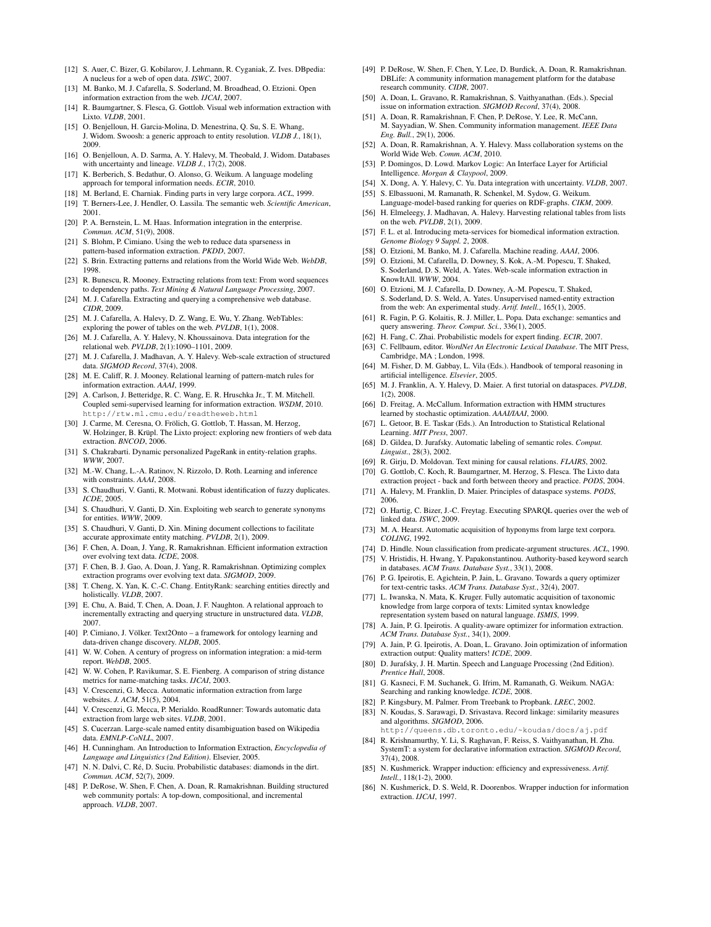- [12] S. Auer, C. Bizer, G. Kobilarov, J. Lehmann, R. Cyganiak, Z. Ives. DBpedia: A nucleus for a web of open data. *ISWC*, 2007.
- [13] M. Banko, M. J. Cafarella, S. Soderland, M. Broadhead, O. Etzioni. Open information extraction from the web. *IJCAI*, 2007.
- [14] R. Baumgartner, S. Flesca, G. Gottlob. Visual web information extraction with Lixto. *VLDB*, 2001.
- [15] O. Benjelloun, H. Garcia-Molina, D. Menestrina, Q. Su, S. E. Whang J. Widom. Swoosh: a generic approach to entity resolution. *VLDB J.*, 18(1), 2009.
- [16] O. Benjelloun, A. D. Sarma, A. Y. Halevy, M. Theobald, J. Widom. Databases with uncertainty and lineage. *VLDB J.*, 17(2), 2008.
- [17] K. Berberich, S. Bedathur, O. Alonso, G. Weikum. A language modeling approach for temporal information needs. *ECIR*, 2010.
- [18] M. Berland, E. Charniak. Finding parts in very large corpora. *ACL*, 1999.
- [19] T. Berners-Lee, J. Hendler, O. Lassila. The semantic web. *Scientific American*, 2001.
- [20] P. A. Bernstein, L. M. Haas. Information integration in the enterprise. *Commun. ACM*, 51(9), 2008.
- [21] S. Blohm, P. Cimiano. Using the web to reduce data sparseness in pattern-based information extraction. *PKDD*, 2007.
- [22] S. Brin. Extracting patterns and relations from the World Wide Web. *WebDB*, 1998.
- [23] R. Bunescu, R. Mooney. Extracting relations from text: From word sequences to dependency paths. *Text Mining & Natural Language Processing*, 2007.
- [24] M. J. Cafarella. Extracting and querying a comprehensive web database. *CIDR*, 2009.
- [25] M. J. Cafarella, A. Halevy, D. Z. Wang, E. Wu, Y. Zhang. WebTables: exploring the power of tables on the web. *PVLDB*, 1(1), 2008.
- [26] M. J. Cafarella, A. Y. Halevy, N. Khoussainova. Data integration for the relational web. *PVLDB*, 2(1):1090–1101, 2009.
- [27] M. J. Cafarella, J. Madhavan, A. Y. Halevy. Web-scale extraction of structured data. *SIGMOD Record*, 37(4), 2008.
- [28] M. E. Califf, R. J. Mooney. Relational learning of pattern-match rules for information extraction. *AAAI*, 1999.
- [29] A. Carlson, J. Betteridge, R. C. Wang, E. R. Hruschka Jr., T. M. Mitchell. Coupled semi-supervised learning for information extraction. *WSDM*, 2010. http://rtw.ml.cmu.edu/readtheweb.html
- [30] J. Carme, M. Ceresna, O. Frölich, G. Gottlob, T. Hassan, M. Herzog, W. Holzinger, B. Krüpl. The Lixto project: exploring new frontiers of web data extraction. *BNCOD*, 2006.
- [31] S. Chakrabarti. Dynamic personalized PageRank in entity-relation graphs. *WWW*, 2007.
- [32] M.-W. Chang, L.-A. Ratinov, N. Rizzolo, D. Roth. Learning and inference with constraints. *AAAI*, 2008.
- [33] S. Chaudhuri, V. Ganti, R. Motwani. Robust identification of fuzzy duplicates. *ICDE*, 2005.
- [34] S. Chaudhuri, V. Ganti, D. Xin. Exploiting web search to generate synonyms for entities. *WWW*, 2009.
- [35] S. Chaudhuri, V. Ganti, D. Xin. Mining document collections to facilitate accurate approximate entity matching. *PVLDB*, 2(1), 2009.
- [36] F. Chen, A. Doan, J. Yang, R. Ramakrishnan. Efficient information extraction over evolving text data. *ICDE*, 2008.
- [37] F. Chen, B. J. Gao, A. Doan, J. Yang, R. Ramakrishnan. Optimizing complex extraction programs over evolving text data. *SIGMOD*, 2009.
- [38] T. Cheng, X. Yan, K. C.-C. Chang. EntityRank: searching entities directly and holistically. *VLDB*, 2007.
- [39] E. Chu, A. Baid, T. Chen, A. Doan, J. F. Naughton. A relational approach to incrementally extracting and querying structure in unstructured data. *VLDB*, 2007.
- [40] P. Cimiano, J. Völker. Text2Onto a framework for ontology learning and data-driven change discovery. *NLDB*, 2005.
- [41] W. W. Cohen. A century of progress on information integration: a mid-term report. *WebDB*, 2005.
- [42] W. W. Cohen, P. Ravikumar, S. E. Fienberg. A comparison of string distance metrics for name-matching tasks. *IJCAI*, 2003.
- [43] V. Crescenzi, G. Mecca. Automatic information extraction from large websites. *J. ACM*, 51(5), 2004.
- [44] V. Crescenzi, G. Mecca, P. Merialdo. RoadRunner: Towards automatic data extraction from large web sites. *VLDB*, 2001.
- [45] S. Cucerzan. Large-scale named entity disambiguation based on Wikipedia data. *EMNLP-CoNLL*, 2007.
- [46] H. Cunningham. An Introduction to Information Extraction, *Encyclopedia of Language and Linguistics (2nd Edition)*. Elsevier, 2005.
- [47] N. N. Dalvi, C. Ré, D. Suciu. Probabilistic databases: diamonds in the dirt. *Commun. ACM*, 52(7), 2009.
- [48] P. DeRose, W. Shen, F. Chen, A. Doan, R. Ramakrishnan. Building structured web community portals: A top-down, compositional, and incremental approach. *VLDB*, 2007.
- [49] P. DeRose, W. Shen, F. Chen, Y. Lee, D. Burdick, A. Doan, R. Ramakrishnan. DBLife: A community information management platform for the database research community. *CIDR*, 2007.
- [50] A. Doan, L. Gravano, R. Ramakrishnan, S. Vaithyanathan. (Eds.). Special issue on information extraction. *SIGMOD Record*, 37(4), 2008.
- [51] A. Doan, R. Ramakrishnan, F. Chen, P. DeRose, Y. Lee, R. McCann, M. Sayyadian, W. Shen. Community information management. *IEEE Data Eng. Bull.*, 29(1), 2006.
- [52] A. Doan, R. Ramakrishnan, A. Y. Halevy. Mass collaboration systems on the World Wide Web. *Comm. ACM*, 2010.
- [53] P. Domingos, D. Lowd. Markov Logic: An Interface Layer for Artificial Intelligence. *Morgan & Claypool*, 2009.
- [54] X. Dong, A. Y. Halevy, C. Yu. Data integration with uncertainty. *VLDB*, 2007.
- [55] S. Elbassuoni, M. Ramanath, R. Schenkel, M. Sydow, G. Weikum. Language-model-based ranking for queries on RDF-graphs. *CIKM*, 2009.
- [56] H. Elmeleegy, J. Madhavan, A. Halevy. Harvesting relational tables from lists on the web. *PVLDB*, 2(1), 2009.
- [57] F. L. et al. Introducing meta-services for biomedical information extraction. *Genome Biology 9 Suppl. 2*, 2008.
- [58] O. Etzioni, M. Banko, M. J. Cafarella. Machine reading. *AAAI*, 2006.
- [59] O. Etzioni, M. Cafarella, D. Downey, S. Kok, A.-M. Popescu, T. Shaked, S. Soderland, D. S. Weld, A. Yates. Web-scale information extraction in KnowItAll. *WWW*, 2004.
- [60] O. Etzioni, M. J. Cafarella, D. Downey, A.-M. Popescu, T. Shaked, S. Soderland, D. S. Weld, A. Yates. Unsupervised named-entity extraction from the web: An experimental study. *Artif. Intell.*, 165(1), 2005.
- [61] R. Fagin, P. G. Kolaitis, R. J. Miller, L. Popa. Data exchange: semantics and query answering. *Theor. Comput. Sci.*, 336(1), 2005.
- [62] H. Fang, C. Zhai. Probabilistic models for expert finding. *ECIR*, 2007.
- [63] C. Fellbaum, editor. *WordNet An Electronic Lexical Database*. The MIT Press, Cambridge, MA ; London, 1998.
- [64] M. Fisher, D. M. Gabbay, L. Vila (Eds.). Handbook of temporal reasoning in artificial intelligence. *Elsevier*, 2005.
- [65] M. J. Franklin, A. Y. Halevy, D. Maier. A first tutorial on dataspaces. *PVLDB*, 1(2), 2008.
- [66] D. Freitag, A. McCallum. Information extraction with HMM structures learned by stochastic optimization. *AAAI/IAAI*, 2000.
- [67] L. Getoor, B. E. Taskar (Eds.). An Introduction to Statistical Relational Learning. *MIT Press*, 2007.
- [68] D. Gildea, D. Jurafsky. Automatic labeling of semantic roles. *Comput. Linguist.*, 28(3), 2002.
- [69] R. Girju, D. Moldovan. Text mining for causal relations. *FLAIRS*, 2002.
- [70] G. Gottlob, C. Koch, R. Baumgartner, M. Herzog, S. Flesca. The Lixto data extraction project - back and forth between theory and practice. *PODS*, 2004.
- [71] A. Halevy, M. Franklin, D. Maier. Principles of dataspace systems. *PODS*, 2006.
- [72] O. Hartig, C. Bizer, J.-C. Freytag. Executing SPARQL queries over the web of linked data. *ISWC*, 2009.
- [73] M. A. Hearst. Automatic acquisition of hyponyms from large text corpora. *COLING*, 1992.
- [74] D. Hindle. Noun classification from predicate-argument structures. *ACL*, 1990.
- [75] V. Hristidis, H. Hwang, Y. Papakonstantinou. Authority-based keyword search
- in databases. *ACM Trans. Database Syst.*, 33(1), 2008. [76] P. G. Ipeirotis, E. Agichtein, P. Jain, L. Gravano. Towards a query optimizer
- for text-centric tasks. *ACM Trans. Database Syst.*, 32(4), 2007. [77] L. Iwanska, N. Mata, K. Kruger. Fully automatic acquisition of taxonomic knowledge from large corpora of texts: Limited syntax knowledge
- representation system based on natural language. *ISMIS*, 1999. [78] A. Jain, P. G. Ipeirotis. A quality-aware optimizer for information extraction.
- *ACM Trans. Database Syst.*, 34(1), 2009.
- [79] A. Jain, P. G. Ipeirotis, A. Doan, L. Gravano. Join optimization of information extraction output: Quality matters! *ICDE*, 2009.
- [80] D. Jurafsky, J. H. Martin. Speech and Language Processing (2nd Edition). *Prentice Hall*, 2008.
- [81] G. Kasneci, F. M. Suchanek, G. Ifrim, M. Ramanath, G. Weikum. NAGA: Searching and ranking knowledge. *ICDE*, 2008.
- [82] P. Kingsbury, M. Palmer. From Treebank to Propbank. *LREC*, 2002.
- [83] N. Koudas, S. Sarawagi, D. Srivastava. Record linkage: similarity measures and algorithms. *SIGMOD*, 2006. http://queens.db.toronto.edu/~koudas/docs/aj.pdf
- [84] R. Krishnamurthy, Y. Li, S. Raghavan, F. Reiss, S. Vaithyanathan, H. Zhu. SystemT: a system for declarative information extraction. *SIGMOD Record*, 37(4), 2008.
- [85] N. Kushmerick. Wrapper induction: efficiency and expressiveness. *Artif. Intell.*, 118(1-2), 2000.
- [86] N. Kushmerick, D. S. Weld, R. Doorenbos. Wrapper induction for information extraction. *IJCAI*, 1997.